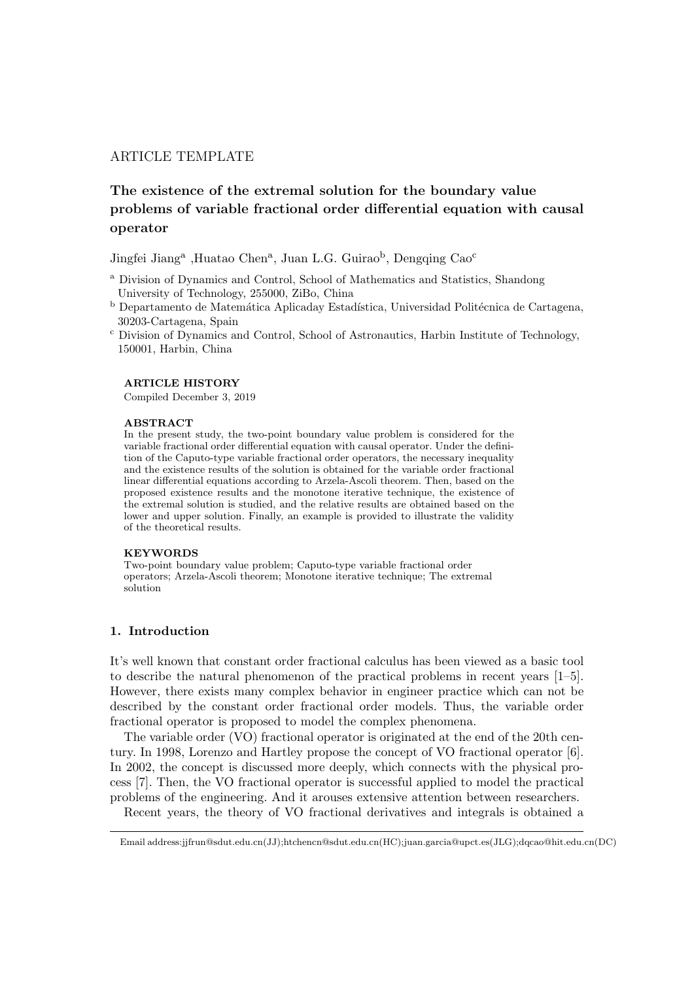## ARTICLE TEMPLATE

# The existence of the extremal solution for the boundary value problems of variable fractional order differential equation with causal operator

Jingfei Jiang<sup>a</sup>, Huatao Chen<sup>a</sup>, Juan L.G. Guirao<sup>b</sup>, Dengqing Cao<sup>c</sup>

- <sup>a</sup> Division of Dynamics and Control, School of Mathematics and Statistics, Shandong University of Technology, 255000, ZiBo, China
- b Departamento de Matemática Aplicaday Estadística, Universidad Politécnica de Cartagena, 30203-Cartagena, Spain
- <sup>c</sup> Division of Dynamics and Control, School of Astronautics, Harbin Institute of Technology, 150001, Harbin, China

#### ARTICLE HISTORY

Compiled December 3, 2019

#### ABSTRACT

In the present study, the two-point boundary value problem is considered for the variable fractional order differential equation with causal operator. Under the definition of the Caputo-type variable fractional order operators, the necessary inequality and the existence results of the solution is obtained for the variable order fractional linear differential equations according to Arzela-Ascoli theorem. Then, based on the proposed existence results and the monotone iterative technique, the existence of the extremal solution is studied, and the relative results are obtained based on the lower and upper solution. Finally, an example is provided to illustrate the validity of the theoretical results.

#### **KEYWORDS**

Two-point boundary value problem; Caputo-type variable fractional order operators; Arzela-Ascoli theorem; Monotone iterative technique; The extremal solution

## 1. Introduction

It's well known that constant order fractional calculus has been viewed as a basic tool to describe the natural phenomenon of the practical problems in recent years [1–5]. However, there exists many complex behavior in engineer practice which can not be described by the constant order fractional order models. Thus, the variable order fractional operator is proposed to model the complex phenomena.

The variable order (VO) fractional operator is originated at the end of the 20th century. In 1998, Lorenzo and Hartley propose the concept of VO fractional operator [6]. In 2002, the concept is discussed more deeply, which connects with the physical process [7]. Then, the VO fractional operator is successful applied to model the practical problems of the engineering. And it arouses extensive attention between researchers.

Recent years, the theory of VO fractional derivatives and integrals is obtained a

Email address:jjfrun@sdut.edu.cn(JJ);htchencn@sdut.edu.cn(HC);juan.garcia@upct.es(JLG);dqcao@hit.edu.cn(DC)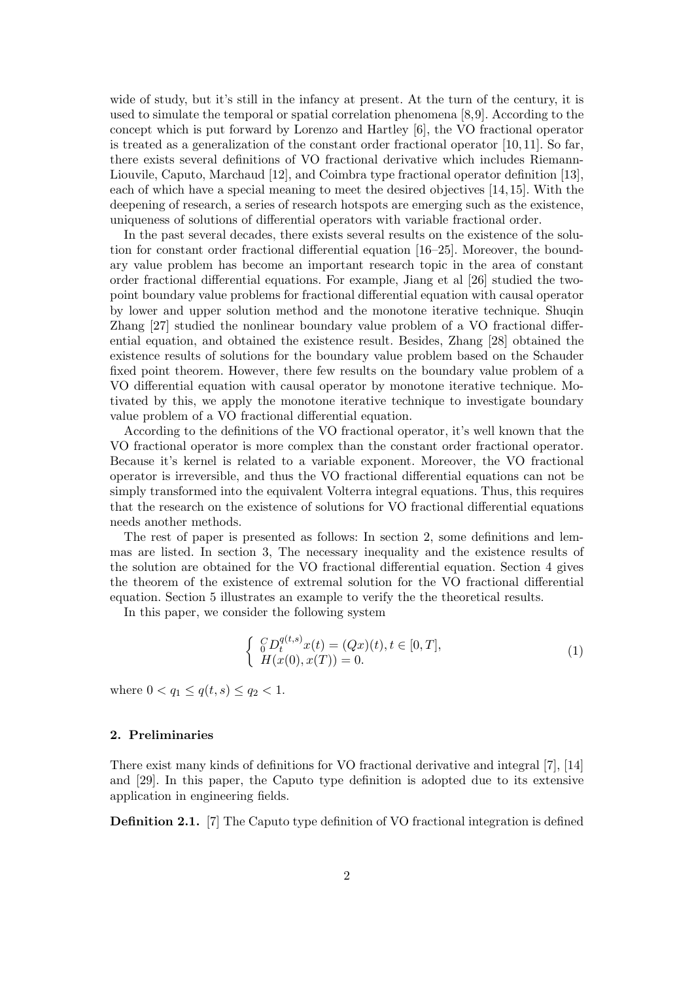wide of study, but it's still in the infancy at present. At the turn of the century, it is used to simulate the temporal or spatial correlation phenomena [8,9]. According to the concept which is put forward by Lorenzo and Hartley [6], the VO fractional operator is treated as a generalization of the constant order fractional operator  $[10, 11]$ . So far, there exists several definitions of VO fractional derivative which includes Riemann-Liouvile, Caputo, Marchaud [12], and Coimbra type fractional operator definition [13], each of which have a special meaning to meet the desired objectives [14, 15]. With the deepening of research, a series of research hotspots are emerging such as the existence, uniqueness of solutions of differential operators with variable fractional order.

In the past several decades, there exists several results on the existence of the solution for constant order fractional differential equation [16–25]. Moreover, the boundary value problem has become an important research topic in the area of constant order fractional differential equations. For example, Jiang et al [26] studied the twopoint boundary value problems for fractional differential equation with causal operator by lower and upper solution method and the monotone iterative technique. Shuqin Zhang [27] studied the nonlinear boundary value problem of a VO fractional differential equation, and obtained the existence result. Besides, Zhang [28] obtained the existence results of solutions for the boundary value problem based on the Schauder fixed point theorem. However, there few results on the boundary value problem of a VO differential equation with causal operator by monotone iterative technique. Motivated by this, we apply the monotone iterative technique to investigate boundary value problem of a VO fractional differential equation.

According to the definitions of the VO fractional operator, it's well known that the VO fractional operator is more complex than the constant order fractional operator. Because it's kernel is related to a variable exponent. Moreover, the VO fractional operator is irreversible, and thus the VO fractional differential equations can not be simply transformed into the equivalent Volterra integral equations. Thus, this requires that the research on the existence of solutions for VO fractional differential equations needs another methods.

The rest of paper is presented as follows: In section 2, some definitions and lemmas are listed. In section 3, The necessary inequality and the existence results of the solution are obtained for the VO fractional differential equation. Section 4 gives the theorem of the existence of extremal solution for the VO fractional differential equation. Section 5 illustrates an example to verify the the theoretical results.

In this paper, we consider the following system

$$
\begin{cases} G D_t^{q(t,s)} x(t) = (Qx)(t), t \in [0,T], \\ H(x(0), x(T)) = 0. \end{cases}
$$
\n(1)

where  $0 < q_1 \leq q(t, s) \leq q_2 < 1$ .

## 2. Preliminaries

There exist many kinds of definitions for VO fractional derivative and integral [7], [14] and [29]. In this paper, the Caputo type definition is adopted due to its extensive application in engineering fields.

Definition 2.1. [7] The Caputo type definition of VO fractional integration is defined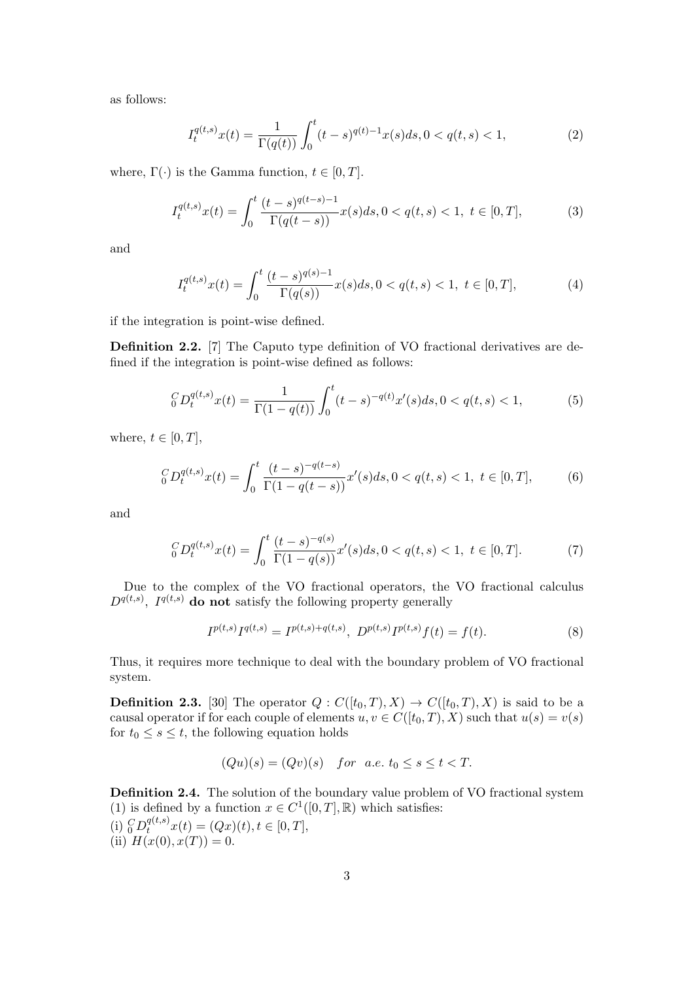as follows:

$$
I_t^{q(t,s)}x(t) = \frac{1}{\Gamma(q(t))} \int_0^t (t-s)^{q(t)-1} x(s)ds, 0 < q(t,s) < 1,\tag{2}
$$

where,  $\Gamma(\cdot)$  is the Gamma function,  $t \in [0, T]$ .

$$
I_t^{q(t,s)}x(t) = \int_0^t \frac{(t-s)^{q(t-s)-1}}{\Gamma(q(t-s))} x(s)ds, 0 < q(t,s) < 1, \ t \in [0,T],\tag{3}
$$

and

$$
I_t^{q(t,s)}x(t) = \int_0^t \frac{(t-s)^{q(s)-1}}{\Gamma(q(s))} x(s)ds, 0 < q(t,s) < 1, \ t \in [0,T],\tag{4}
$$

if the integration is point-wise defined.

Definition 2.2. [7] The Caputo type definition of VO fractional derivatives are defined if the integration is point-wise defined as follows:

$$
{}_0^C D_t^{q(t,s)} x(t) = \frac{1}{\Gamma(1-q(t))} \int_0^t (t-s)^{-q(t)} x'(s) ds, 0 < q(t,s) < 1,\tag{5}
$$

where,  $t \in [0, T]$ ,

$$
{}_0^C D_t^{q(t,s)} x(t) = \int_0^t \frac{(t-s)^{-q(t-s)}}{\Gamma(1-q(t-s))} x'(s)ds, 0 < q(t,s) < 1, \ t \in [0,T], \tag{6}
$$

and

$$
{}_0^C D_t^{q(t,s)} x(t) = \int_0^t \frac{(t-s)^{-q(s)}}{\Gamma(1-q(s))} x'(s) ds, 0 < q(t,s) < 1, \ t \in [0,T].
$$
 (7)

Due to the complex of the VO fractional operators, the VO fractional calculus  $D^{q(t,s)}$ ,  $I^{q(t,s)}$  do not satisfy the following property generally

$$
I^{p(t,s)}I^{q(t,s)} = I^{p(t,s)+q(t,s)}, \ D^{p(t,s)}I^{p(t,s)}f(t) = f(t). \tag{8}
$$

Thus, it requires more technique to deal with the boundary problem of VO fractional system.

**Definition 2.3.** [30] The operator  $Q: C([t_0, T), X) \to C([t_0, T), X)$  is said to be a causal operator if for each couple of elements  $u, v \in C([t_0, T), X)$  such that  $u(s) = v(s)$ for  $t_0 \leq s \leq t$ , the following equation holds

$$
(Qu)(s) = (Qv)(s) \quad for \ a.e. \ t_0 \le s \le t < T.
$$

Definition 2.4. The solution of the boundary value problem of VO fractional system (1) is defined by a function  $x \in C^1([0,T],\mathbb{R})$  which satisfies: (i)  ${}_0^C D_t^{q(t,s)} x(t) = (Qx)(t), t \in [0,T],$ (ii)  $H(x(0), x(T)) = 0$ .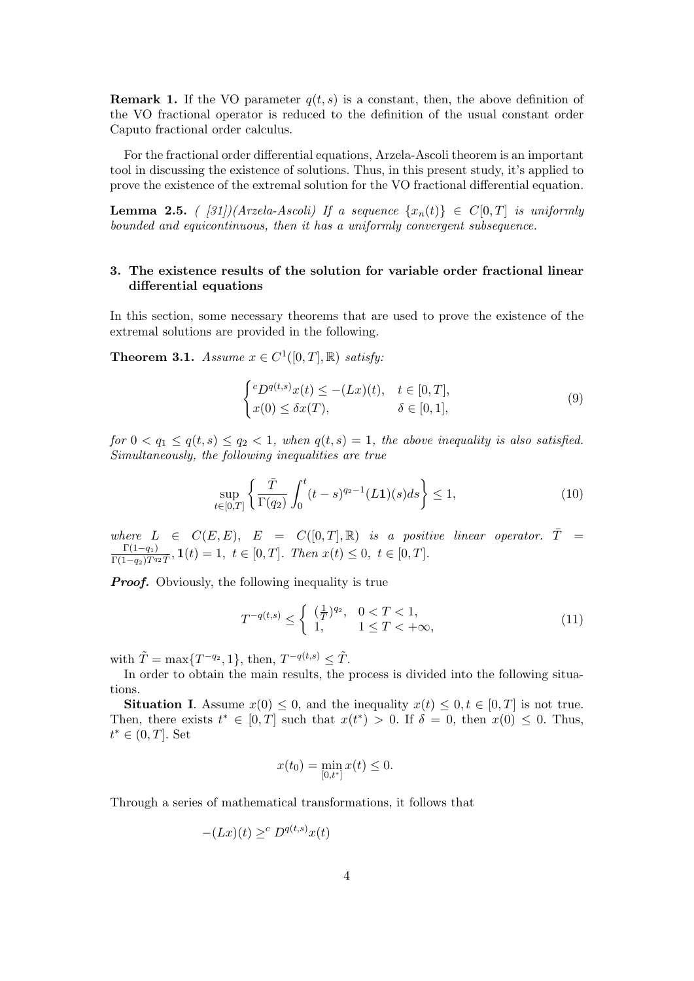**Remark 1.** If the VO parameter  $q(t, s)$  is a constant, then, the above definition of the VO fractional operator is reduced to the definition of the usual constant order Caputo fractional order calculus.

For the fractional order differential equations, Arzela-Ascoli theorem is an important tool in discussing the existence of solutions. Thus, in this present study, it's applied to prove the existence of the extremal solution for the VO fractional differential equation.

**Lemma 2.5.** ( [31])(Arzela-Ascoli) If a sequence  $\{x_n(t)\}\in C[0,T]$  is uniformly bounded and equicontinuous, then it has a uniformly convergent subsequence.

## 3. The existence results of the solution for variable order fractional linear differential equations

In this section, some necessary theorems that are used to prove the existence of the extremal solutions are provided in the following.

**Theorem 3.1.** Assume  $x \in C^1([0,T],\mathbb{R})$  satisfy:

$$
\begin{cases} ^{c}D^{q(t,s)}x(t) \leq -(Lx)(t), & t \in [0,T],\\ x(0) \leq \delta x(T), & \delta \in [0,1], \end{cases}
$$
\n
$$
(9)
$$

for  $0 < q_1 \leq q(t, s) \leq q_2 < 1$ , when  $q(t, s) = 1$ , the above inequality is also satisfied. Simultaneously, the following inequalities are true

$$
\sup_{t \in [0,T]} \left\{ \frac{\bar{T}}{\Gamma(q_2)} \int_0^t (t-s)^{q_2 - 1} (L\mathbf{1})(s) ds \right\} \le 1,\tag{10}
$$

where  $L \in C(E, E)$ ,  $E = C([0, T], \mathbb{R})$  is a positive linear operator.  $\overline{T} =$  $\Gamma(1-q_1)$  $\frac{1}{\Gamma(1-q_2)T^{q_2}\tilde{T}}, \mathbf{1}(t) = 1, t \in [0,T].$  Then  $x(t) \leq 0, t \in [0,T].$ 

**Proof.** Obviously, the following inequality is true

$$
T^{-q(t,s)} \le \begin{cases} (\frac{1}{T})^{q_2}, & 0 < T < 1, \\ 1, & 1 \le T < +\infty, \end{cases}
$$
 (11)

with  $\tilde{T} = \max\{T^{-q_2}, 1\}$ , then,  $T^{-q(t,s)} \leq \tilde{T}$ .

In order to obtain the main results, the process is divided into the following situations.

**Situation I.** Assume  $x(0) \leq 0$ , and the inequality  $x(t) \leq 0, t \in [0, T]$  is not true. Then, there exists  $t^* \in [0,T]$  such that  $x(t^*) > 0$ . If  $\delta = 0$ , then  $x(0) \leq 0$ . Thus,  $t^* \in (0,T]$ . Set

$$
x(t_0) = \min_{[0,t^*]} x(t) \le 0.
$$

Through a series of mathematical transformations, it follows that

$$
-(Lx)(t) \geq^c D^{q(t,s)}x(t)
$$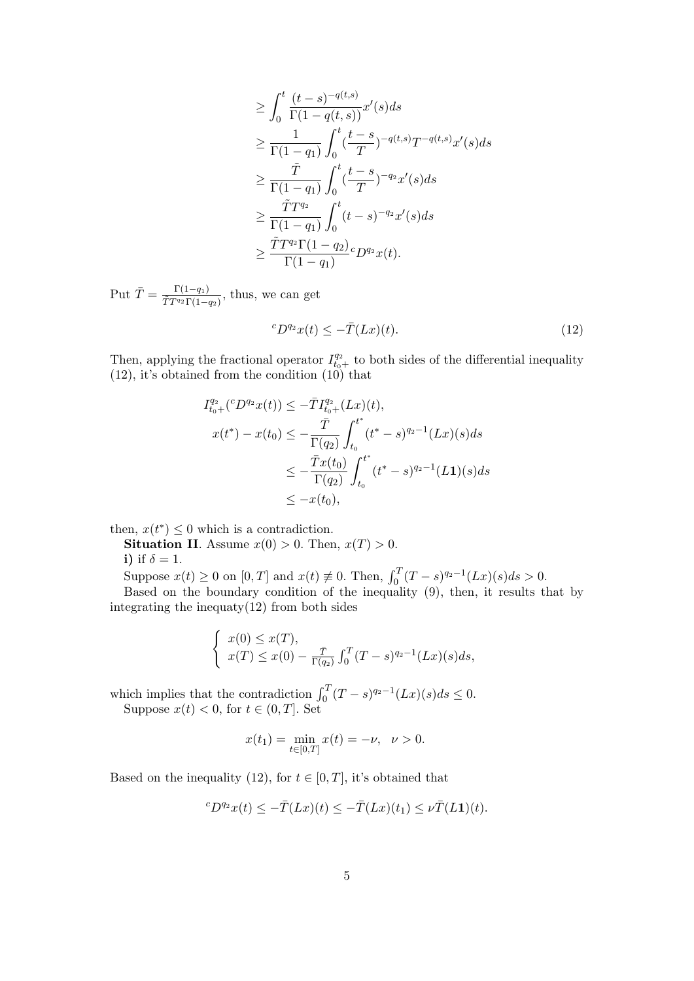$$
\geq \int_0^t \frac{(t-s)^{-q(t,s)}}{\Gamma(1-q(t,s))} x'(s) ds
$$
  
\n
$$
\geq \frac{1}{\Gamma(1-q_1)} \int_0^t \frac{(t-s)}{T} e^{-(t,s)} T^{-q(t,s)} x'(s) ds
$$
  
\n
$$
\geq \frac{\tilde{T}}{\Gamma(1-q_1)} \int_0^t \frac{(t-s)}{T} e^{-(t-s)} dt
$$
  
\n
$$
\geq \frac{\tilde{T} T^{q_2}}{\Gamma(1-q_1)} \int_0^t (t-s)^{-q_2} x'(s) ds
$$
  
\n
$$
\geq \frac{\tilde{T} T^{q_2} \Gamma(1-q_2)}{\Gamma(1-q_1)} c D^{q_2} x(t).
$$

Put  $\bar{T} = \frac{\Gamma(1-q_1)}{\tilde{T} T q_2 \Gamma(1)}$  $\frac{1}{TT^{q_2}\Gamma(1-q_2)}$ , thus, we can get

$$
{}^{c}D^{q_2}x(t) \leq -\bar{T}(Lx)(t). \tag{12}
$$

Then, applying the fractional operator  $I_{t_0+}^{q_2}$  to both sides of the differential inequality (12), it's obtained from the condition (10) that

$$
I_{t_0+}^{q_2}({}^c D^{q_2}x(t)) \le -\bar{T}I_{t_0+}^{q_2}(Lx)(t),
$$
  
\n
$$
x(t^*) - x(t_0) \le -\frac{\bar{T}}{\Gamma(q_2)} \int_{t_0}^{t^*} (t^* - s)^{q_2-1}(Lx)(s)ds
$$
  
\n
$$
\le -\frac{\bar{T}x(t_0)}{\Gamma(q_2)} \int_{t_0}^{t^*} (t^* - s)^{q_2-1}(L\mathbf{1})(s)ds
$$
  
\n
$$
\le -x(t_0),
$$

then,  $x(t^*) \leq 0$  which is a contradiction.

**Situation II.** Assume  $x(0) > 0$ . Then,  $x(T) > 0$ . i) if  $\delta = 1$ .

Suppose  $x(t) \ge 0$  on  $[0, T]$  and  $x(t) \ne 0$ . Then,  $\int_0^T (T - s)^{q_2 - 1} (Lx)(s) ds > 0$ . Based on the boundary condition of the inequality (9), then, it results that by integrating the inequaty $(12)$  from both sides

$$
\begin{cases}\nx(0) \le x(T), \\
x(T) \le x(0) - \frac{\bar{T}}{\Gamma(q_2)} \int_0^T (T-s)^{q_2-1} (Lx)(s) ds,\n\end{cases}
$$

which implies that the contradiction  $\int_0^T (T - s)^{q_2 - 1} (Lx)(s) ds \leq 0$ . Suppose  $x(t) < 0$ , for  $t \in (0, T]$ . Set

$$
x(t_1) = \min_{t \in [0,T]} x(t) = -\nu, \quad \nu > 0.
$$

Based on the inequality (12), for  $t \in [0, T]$ , it's obtained that

$$
{}^{c}D^{q_2}x(t) \leq -\bar{T}(Lx)(t) \leq -\bar{T}(Lx)(t_1) \leq \nu \bar{T}(L\mathbf{1})(t).
$$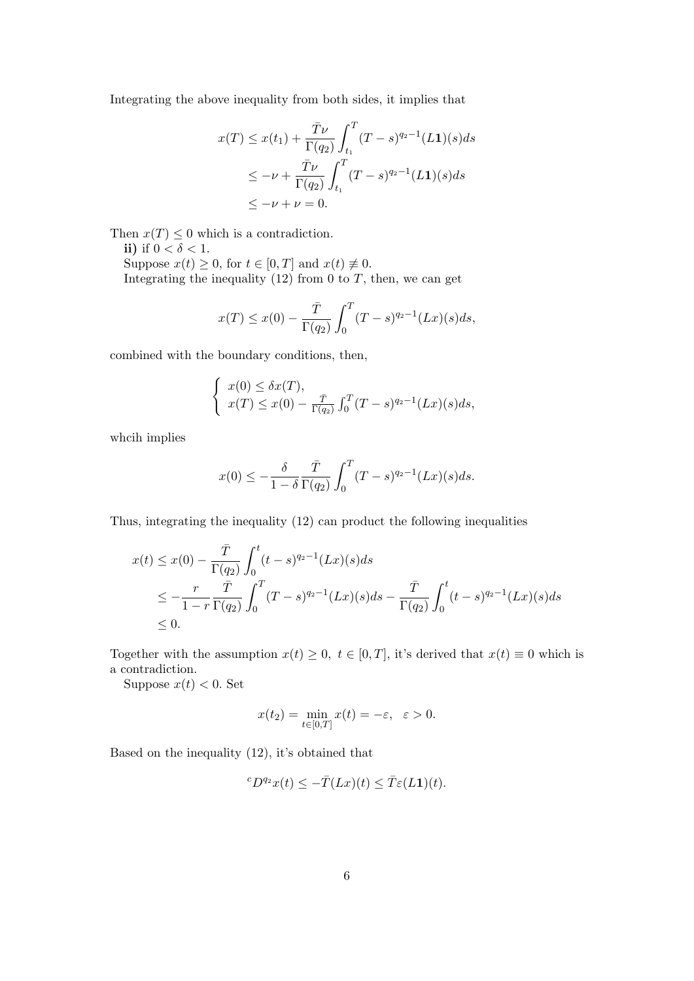Integrating the above inequality from both sides, it implies that

$$
x(T) \le x(t_1) + \frac{\bar{T}\nu}{\Gamma(q_2)} \int_{t_1}^T (T-s)^{q_2-1} (L\mathbf{1})(s)ds
$$
  

$$
\le -\nu + \frac{\bar{T}\nu}{\Gamma(q_2)} \int_{t_1}^T (T-s)^{q_2-1} (L\mathbf{1})(s)ds
$$
  

$$
\le -\nu + \nu = 0.
$$

Then  $x(T) \leq 0$  which is a contradiction.

ii) if  $0 < \delta < 1$ . Suppose  $x(t) \geq 0$ , for  $t \in [0, T]$  and  $x(t) \neq 0$ . Integrating the inequality  $(12)$  from 0 to  $T$ , then, we can get

$$
x(T) \le x(0) - \frac{\overline{T}}{\Gamma(q_2)} \int_0^T (T - s)^{q_2 - 1} (Lx)(s) ds,
$$

combined with the boundary conditions, then,

$$
\begin{cases}\nx(0) \leq \delta x(T), \\
x(T) \leq x(0) - \frac{\bar{T}}{\Gamma(q_2)} \int_0^T (T-s)^{q_2-1} (Lx)(s) ds,\n\end{cases}
$$

whcih implies

$$
x(0) \le -\frac{\delta}{1-\delta} \frac{\bar{T}}{\Gamma(q_2)} \int_0^T (T-s)^{q_2-1} (Lx)(s) ds.
$$

Thus, integrating the inequality (12) can product the following inequalities

$$
x(t) \le x(0) - \frac{\overline{T}}{\Gamma(q_2)} \int_0^t (t-s)^{q_2-1} (Lx)(s) ds
$$
  
\n
$$
\le -\frac{r}{1-r} \frac{\overline{T}}{\Gamma(q_2)} \int_0^T (T-s)^{q_2-1} (Lx)(s) ds - \frac{\overline{T}}{\Gamma(q_2)} \int_0^t (t-s)^{q_2-1} (Lx)(s) ds
$$
  
\n
$$
\le 0.
$$

Together with the assumption  $x(t) \geq 0$ ,  $t \in [0, T]$ , it's derived that  $x(t) \equiv 0$  which is a contradiction.

Suppose  $x(t) < 0$ . Set

$$
x(t_2) = \min_{t \in [0,T]} x(t) = -\varepsilon, \ \ \varepsilon > 0.
$$

Based on the inequality (12), it's obtained that

$$
{}^{c}D^{q_2}x(t) \leq -\bar{T}(Lx)(t) \leq \bar{T}\varepsilon(L\mathbf{1})(t).
$$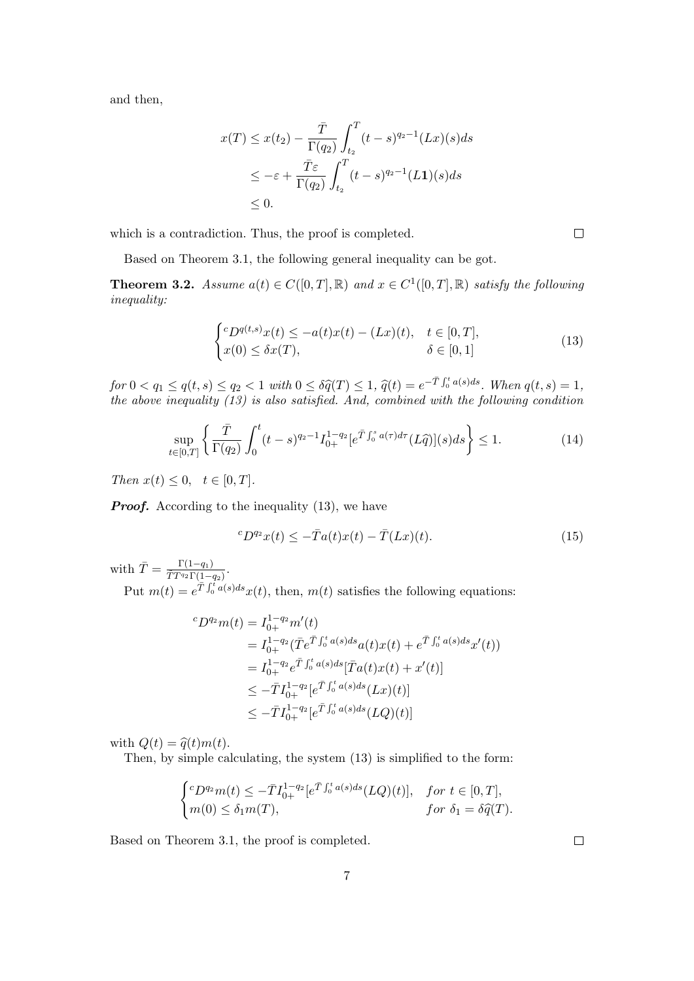and then,

$$
x(T) \le x(t_2) - \frac{\overline{T}}{\Gamma(q_2)} \int_{t_2}^T (t-s)^{q_2-1} (Lx)(s)ds
$$
  
\n
$$
\le -\varepsilon + \frac{\overline{T}\varepsilon}{\Gamma(q_2)} \int_{t_2}^T (t-s)^{q_2-1} (L\mathbf{1})(s)ds
$$
  
\n
$$
\le 0.
$$

which is a contradiction. Thus, the proof is completed.

Based on Theorem 3.1, the following general inequality can be got.

**Theorem 3.2.** Assume  $a(t) \in C([0,T],\mathbb{R})$  and  $x \in C^1([0,T],\mathbb{R})$  satisfy the following inequality:

$$
\begin{cases}\nc_D q(t,s)x(t) \leq -a(t)x(t) - (Lx)(t), & t \in [0,T], \\
x(0) \leq \delta x(T), & \delta \in [0,1]\n\end{cases}
$$
\n(13)

for  $0 < q_1 \leq q(t, s) \leq q_2 < 1$  with  $0 \leq \delta \hat{q}(T) \leq 1$ ,  $\hat{q}(t) = e^{-\bar{T}\int_0^t a(s)ds}$ . When  $q(t, s) = 1$ ,<br>the above inequality (12) is also satisfied. And, combined with the following condition the above inequality (13) is also satisfied. And, combined with the following condition

$$
\sup_{t \in [0,T]} \left\{ \frac{\bar{T}}{\Gamma(q_2)} \int_0^t (t-s)^{q_2 - 1} I_{0+}^{1 - q_2} [e^{\bar{T} \int_0^s a(\tau) d\tau} (L\hat{q})](s) ds \right\} \le 1.
$$
 (14)

Then  $x(t) \leq 0, \quad t \in [0, T].$ 

**Proof.** According to the inequality (13), we have

$$
{}^{c}D^{q_2}x(t) \leq -\bar{T}a(t)x(t) - \bar{T}(Lx)(t). \tag{15}
$$

with  $\bar{T} = \frac{\Gamma(1-q_1)}{\tilde{T} T q_2 \Gamma(1)}$  $\frac{1(1-q_1)}{\tilde{T}T^{q_2}\Gamma(1-q_2)}$ 

Put  $m(t) = e^{\overline{T} \int_0^t a(s)ds} x(t)$ , then,  $m(t)$  satisfies the following equations:

$$
{}^{c}D^{q_2}m(t) = I_{0+}^{1-q_2}m'(t)
$$
  
=  $I_{0+}^{1-q_2}(\overline{T}e^{\overline{T}})^{t^*}_{0}a(s)ds_{a}(t)x(t) + e^{\overline{T}})^{t^*}_{0}a(s)ds_{x'}(t))$   
=  $I_{0+}^{1-q_2}e^{\overline{T}})^{t^*}_{0}a(s)ds[\overline{T}a(t)x(t) + x'(t)]$   
 $\leq -\overline{T}I_{0+}^{1-q_2}[e^{\overline{T}})^{t^*}_{0}a(s)ds(Lx)(t)]$   
 $\leq -\overline{T}I_{0+}^{1-q_2}[e^{\overline{T}})^{t^*}_{0}a(s)ds(LQ)(t)]$ 

with  $Q(t) = \hat{q}(t)m(t)$ .

Then, by simple calculating, the system (13) is simplified to the form:

$$
\begin{cases} ^cD^{q_2}m(t) \leq -\bar{T}I_{0+}^{1-q_2}[e^{\bar{T}\int_0^t a(s)ds}(LQ)(t)], & \text{for } t \in [0,T],\\ m(0) \leq \delta_1 m(T), & \text{for } \delta_1 = \delta \widehat{q}(T). \end{cases}
$$

Based on Theorem 3.1, the proof is completed.

 $\Box$ 

 $\Box$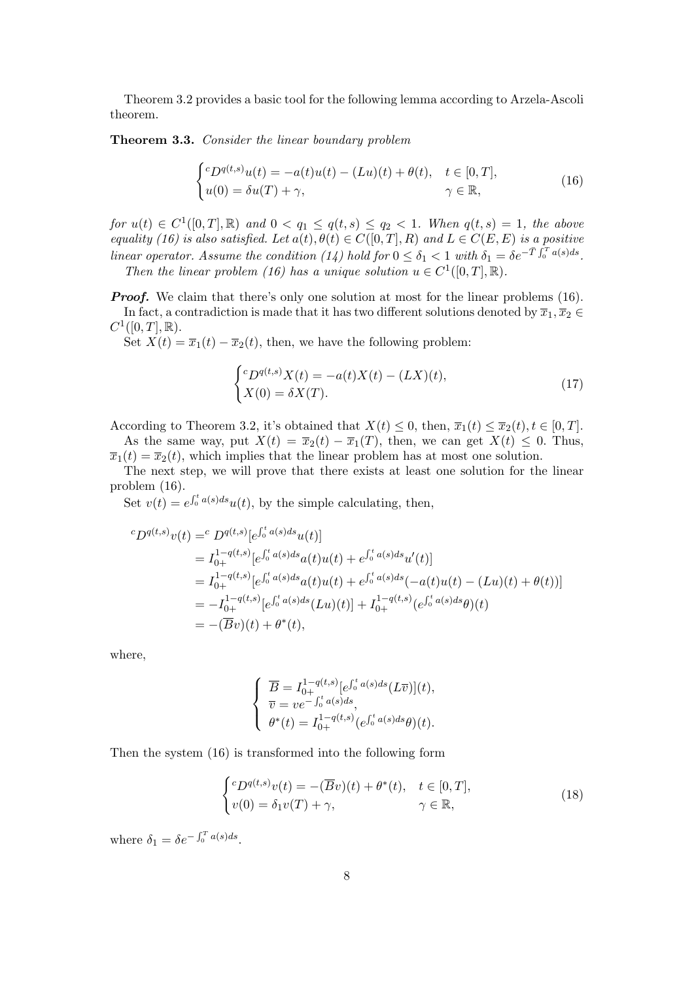Theorem 3.2 provides a basic tool for the following lemma according to Arzela-Ascoli theorem.

Theorem 3.3. Consider the linear boundary problem

$$
\begin{cases}^{c}D^{q(t,s)}u(t) = -a(t)u(t) - (Lu)(t) + \theta(t), & t \in [0,T],\\ u(0) = \delta u(T) + \gamma, & \gamma \in \mathbb{R}, \end{cases}
$$
\n(16)

for  $u(t) \in C^1([0,T],\mathbb{R})$  and  $0 < q_1 \leq q(t,s) \leq q_2 < 1$ . When  $q(t,s) = 1$ , the above equality (16) is also satisfied. Let  $a(t), \theta(t) \in C([0,T], R)$  and  $L \in C(E, E)$  is a positive linear operator. Assume the condition (14) hold for  $0 \le \delta_1 < 1$  with  $\delta_1 = \delta e^{-\bar{T}\int_0^T a(s)ds}$ . Then the linear problem (16) has a unique solution  $u \in C^1([0,T],\mathbb{R})$ .

**Proof.** We claim that there's only one solution at most for the linear problems (16). In fact, a contradiction is made that it has two different solutions denoted by  $\overline{x}_1, \overline{x}_2 \in$  $C^1([0,T],\mathbb{R}).$ 

Set  $X(t) = \overline{x}_1(t) - \overline{x}_2(t)$ , then, we have the following problem:

$$
\begin{cases} ^cD^{q(t,s)}X(t) = -a(t)X(t) - (LX)(t), \\ X(0) = \delta X(T). \end{cases}
$$
\n
$$
(17)
$$

According to Theorem 3.2, it's obtained that  $X(t) \leq 0$ , then,  $\overline{x}_1(t) \leq \overline{x}_2(t)$ ,  $t \in [0, T]$ .

As the same way, put  $X(t) = \overline{x}_2(t) - \overline{x}_1(T)$ , then, we can get  $X(t) \leq 0$ . Thus,  $\overline{x}_1(t) = \overline{x}_2(t)$ , which implies that the linear problem has at most one solution.

The next step, we will prove that there exists at least one solution for the linear problem (16).

Set  $v(t) = e^{\int_0^t a(s)ds} u(t)$ , by the simple calculating, then,

$$
{}^{c}D^{q(t,s)}v(t) = {}^{c}D^{q(t,s)}[e^{\int_{0}^{t}a(s)ds}u(t)]
$$
  
\n
$$
= I_{0+}^{1-q(t,s)}[e^{\int_{0}^{t}a(s)ds}a(t)u(t) + e^{\int_{0}^{t}a(s)ds}u'(t)]
$$
  
\n
$$
= I_{0+}^{1-q(t,s)}[e^{\int_{0}^{t}a(s)ds}a(t)u(t) + e^{\int_{0}^{t}a(s)ds}(-a(t)u(t) - (Lu)(t) + \theta(t))]
$$
  
\n
$$
= -I_{0+}^{1-q(t,s)}[e^{\int_{0}^{t}a(s)ds}(Lu)(t)] + I_{0+}^{1-q(t,s)}(e^{\int_{0}^{t}a(s)ds}\theta)(t)
$$
  
\n
$$
= -(\overline{B}v)(t) + \theta^{*}(t),
$$

where,

$$
\begin{cases} \overline{B} = I_{0+}^{1-q(t,s)} [e^{\int_0^t a(s)ds} (L\overline{v})](t), \\ \overline{v} = v e^{-\int_0^t a(s)ds}, \\ \theta^*(t) = I_{0+}^{1-q(t,s)} (e^{\int_0^t a(s)ds} \theta)(t). \end{cases}
$$

Then the system (16) is transformed into the following form

$$
\begin{cases}^{c}D^{q(t,s)}v(t) = -(\overline{B}v)(t) + \theta^{*}(t), & t \in [0,T],\\ v(0) = \delta_{1}v(T) + \gamma, & \gamma \in \mathbb{R}, \end{cases}
$$
\n(18)

where  $\delta_1 = \delta e^{-\int_0^T a(s)ds}$ .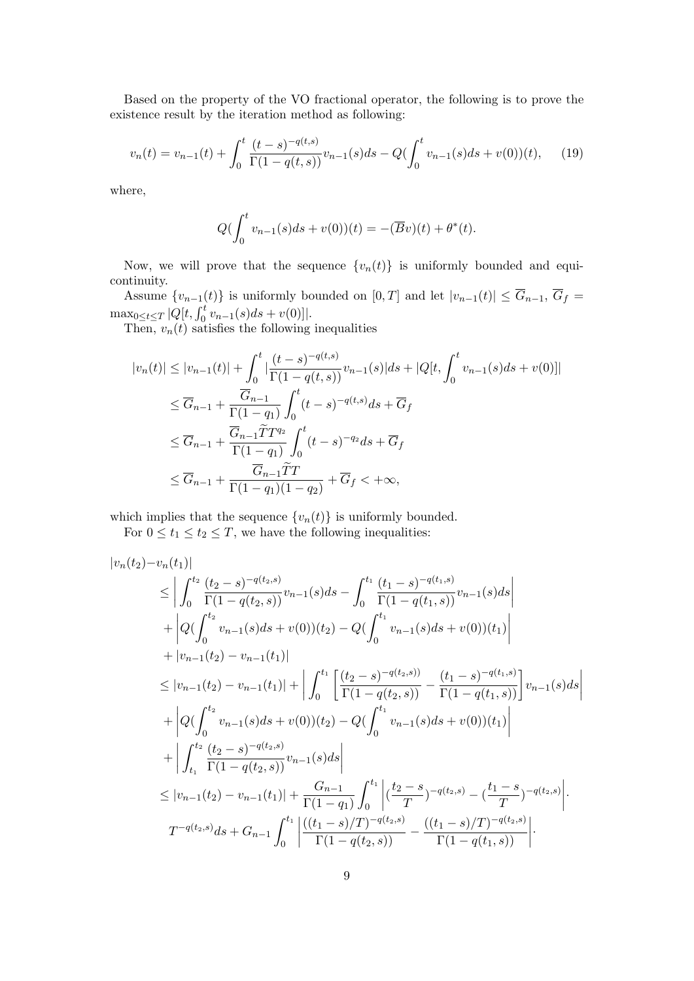Based on the property of the VO fractional operator, the following is to prove the existence result by the iteration method as following:

$$
v_n(t) = v_{n-1}(t) + \int_0^t \frac{(t-s)^{-q(t,s)}}{\Gamma(1-q(t,s))} v_{n-1}(s)ds - Q(\int_0^t v_{n-1}(s)ds + v(0))(t), \quad (19)
$$

where,

$$
Q(\int_0^t v_{n-1}(s)ds + v(0))(t) = -(\overline{B}v)(t) + \theta^*(t).
$$

Now, we will prove that the sequence  $\{v_n(t)\}\$ is uniformly bounded and equicontinuity.

Assume  $\{v_{n-1}(t)\}\$ is uniformly bounded on  $[0,T]$  and let  $|v_{n-1}(t)| \leq \overline{G}_{n-1}, \overline{G}_f =$  $\max_{0 \leq t \leq T} |Q[t, \int_0^t v_{n-1}(s) ds + v(0)]|.$ 

Then,  $v_n(t)$  satisfies the following inequalities

$$
|v_n(t)| \le |v_{n-1}(t)| + \int_0^t \left| \frac{(t-s)^{-q(t,s)}}{\Gamma(1-q(t,s))} v_{n-1}(s) \right| ds + |Q[t, \int_0^t v_{n-1}(s) ds + v(0)]|
$$
  
\n
$$
\le \overline{G}_{n-1} + \frac{\overline{G}_{n-1}}{\Gamma(1-q_1)} \int_0^t (t-s)^{-q(t,s)} ds + \overline{G}_f
$$
  
\n
$$
\le \overline{G}_{n-1} + \frac{\overline{G}_{n-1} \widetilde{T} T^{q_2}}{\Gamma(1-q_1)} \int_0^t (t-s)^{-q_2} ds + \overline{G}_f
$$
  
\n
$$
\le \overline{G}_{n-1} + \frac{\overline{G}_{n-1} \widetilde{T} T}{\Gamma(1-q_1)(1-q_2)} + \overline{G}_f < +\infty,
$$

which implies that the sequence  $\{v_n(t)\}\$ is uniformly bounded.

For  $0 \le t_1 \le t_2 \le T$ , we have the following inequalities:

$$
|v_n(t_2) - v_n(t_1)|
$$
  
\n
$$
\leq \left| \int_0^{t_2} \frac{(t_2 - s)^{-q(t_2, s)}}{\Gamma(1 - q(t_2, s))} v_{n-1}(s) ds - \int_0^{t_1} \frac{(t_1 - s)^{-q(t_1, s)}}{\Gamma(1 - q(t_1, s))} v_{n-1}(s) ds \right|
$$
  
\n
$$
+ \left| Q \left( \int_0^{t_2} v_{n-1}(s) ds + v(0) \right) (t_2) - Q \left( \int_0^{t_1} v_{n-1}(s) ds + v(0) \right) (t_1) \right|
$$
  
\n
$$
+ |v_{n-1}(t_2) - v_{n-1}(t_1)|
$$
  
\n
$$
\leq |v_{n-1}(t_2) - v_{n-1}(t_1)| + \left| \int_0^{t_1} \left[ \frac{(t_2 - s)^{-q(t_2, s)}}{\Gamma(1 - q(t_2, s))} - \frac{(t_1 - s)^{-q(t_1, s)}}{\Gamma(1 - q(t_1, s))} \right] v_{n-1}(s) ds \right|
$$
  
\n
$$
+ \left| Q \left( \int_0^{t_2} v_{n-1}(s) ds + v(0) \right) (t_2) - Q \left( \int_0^{t_1} v_{n-1}(s) ds + v(0) \right) (t_1) \right|
$$
  
\n
$$
+ \left| \int_{t_1}^{t_2} \frac{(t_2 - s)^{-q(t_2, s)}}{\Gamma(1 - q(t_2, s))} v_{n-1}(s) ds \right|
$$
  
\n
$$
\leq |v_{n-1}(t_2) - v_{n-1}(t_1)| + \frac{G_{n-1}}{\Gamma(1 - q_1)} \int_0^{t_1} \left| \frac{(t_2 - s)}{\Gamma(1 - q(t_2, s))} - \frac{(t_1 - s)}{\Gamma(1 - q(t_1, s))} \right|.
$$
  
\n
$$
T^{-q(t_2, s)} ds + G_{n-1} \int_0^{t_1} \left| \frac{((t_1 - s)/T)^{-q(t_2, s)}}{\Gamma(1 - q(t_2, s))} - \frac{((t_1 - s)/T)^{-q(t_2, s)}}{\Gamma(1 -
$$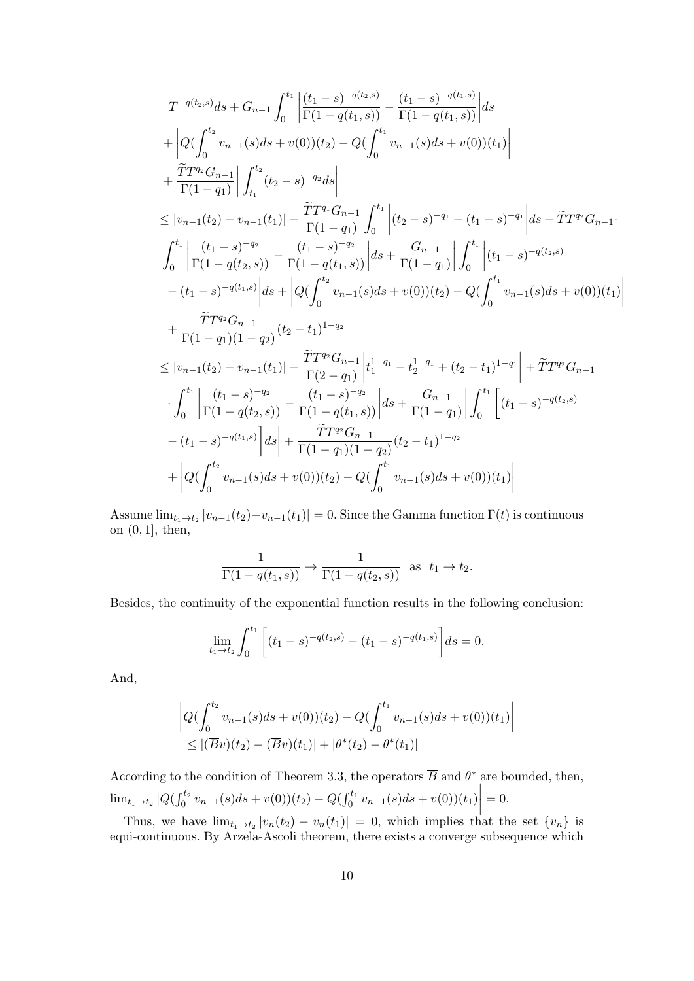$$
\begin{split} &T^{-q(t_2,s)}ds+G_{n-1}\int_0^{t_1}\left|\frac{(t_1-s)^{-q(t_2,s)}}{\Gamma(1-q(t_1,s))}-\frac{(t_1-s)^{-q(t_1,s)}}{\Gamma(1-q(t_1,s))}\right|ds\\ &+\left|Q(\int_0^{t_2}v_{n-1}(s)ds+v(0))(t_2)-Q(\int_0^{t_1}v_{n-1}(s)ds+v(0))(t_1)\right|\\ &+\frac{\widetilde T T^{q_2}G_{n-1}}{\Gamma(1-q_1)}\right|\int_{t_1}^{t_2}(t_2-s)^{-q_2}ds\right|\\ &\leq |v_{n-1}(t_2)-v_{n-1}(t_1)|+\frac{\widetilde T T^{q_1}G_{n-1}}{\Gamma(1-q_1)}\int_0^{t_1}\left|(t_2-s)^{-q_1}-(t_1-s)^{-q_1}\right|ds+\widetilde T T^{q_2}G_{n-1}.\end{split}\\ \begin{split} &-\int_0^{t_1}\left|\frac{(t_1-s)^{-q_2}}{\Gamma(1-q(t_2,s))}-\frac{(t_1-s)^{-q_2}}{\Gamma(1-q(t_1,s))}\right|ds+\frac{G_{n-1}}{\Gamma(1-q_1)}\right|\int_0^{t_1}\left|(t_1-s)^{-q(t_2,s)}\\ &-(t_1-s)^{-q(t_1,s)}\right|ds+\left|Q(\int_0^{t_2}v_{n-1}(s)ds+v(0))(t_2)-Q(\int_0^{t_1}v_{n-1}(s)ds+v(0))(t_1)\right|\\ &+\frac{\widetilde T T^{q_2}G_{n-1}}{\Gamma(1-q_1)(1-q_2)}(t_2-t_1)^{1-q_2}\\ &\leq |v_{n-1}(t_2)-v_{n-1}(t_1)|+\frac{\widetilde T T^{q_2}G_{n-1}}{\Gamma(2-q_1)}\left|t_1^{1-q_1}-t_2^{1-q_1}+(t_2-t_1)^{1-q_1}\right|+\widetilde T T^{q_2}G_{n-1}\\ &\cdot\int_0^{t_1}\left|\frac{(t_1-s)^{-q_2}}{\Gamma(1-q(t_2,s))}-\frac{(t_1-s)^{-q_2}}{\Gamma(1-q(t_1,s))}\right|ds+\frac{G_{n-1}}{\Gamma(1-q_1)}\right|\int_0^{t_1}\left[(t_1-s)^{-q(t_2,s
$$

Assume  $\lim_{t_1 \to t_2} |v_{n-1}(t_2)-v_{n-1}(t_1)| = 0$ . Since the Gamma function  $\Gamma(t)$  is continuous on (0, 1], then,

$$
\frac{1}{\Gamma(1-q(t_1,s))} \to \frac{1}{\Gamma(1-q(t_2,s))} \text{ as } t_1 \to t_2.
$$

Besides, the continuity of the exponential function results in the following conclusion:

$$
\lim_{t_1 \to t_2} \int_0^{t_1} \left[ (t_1 - s)^{-q(t_2, s)} - (t_1 - s)^{-q(t_1, s)} \right] ds = 0.
$$

And,

$$
\left| Q(\int_0^{t_2} v_{n-1}(s)ds + v(0))(t_2) - Q(\int_0^{t_1} v_{n-1}(s)ds + v(0))(t_1) \right|
$$
  
\n
$$
\leq |(\overline{B}v)(t_2) - (\overline{B}v)(t_1)| + |\theta^*(t_2) - \theta^*(t_1)|
$$

According to the condition of Theorem 3.3, the operators  $\overline{B}$  and  $\theta^*$  are bounded, then,  $\lim_{t_1 \to t_2} |Q(\int_0^{t_2} v_{n-1}(s)ds + v(0))(t_2) - Q(\int_0^{t_1} v_{n-1}(s)ds + v(0))(t_1)$  $\begin{array}{c} \begin{array}{c} \begin{array}{c} \end{array} \\ \begin{array}{c} \end{array} \end{array} \end{array}$  $= 0.$ 

Thus, we have  $\lim_{t_1 \to t_2} |v_n(t_2) - v_n(t_1)| = 0$ , which implies that the set  $\{v_n\}$  is equi-continuous. By Arzela-Ascoli theorem, there exists a converge subsequence which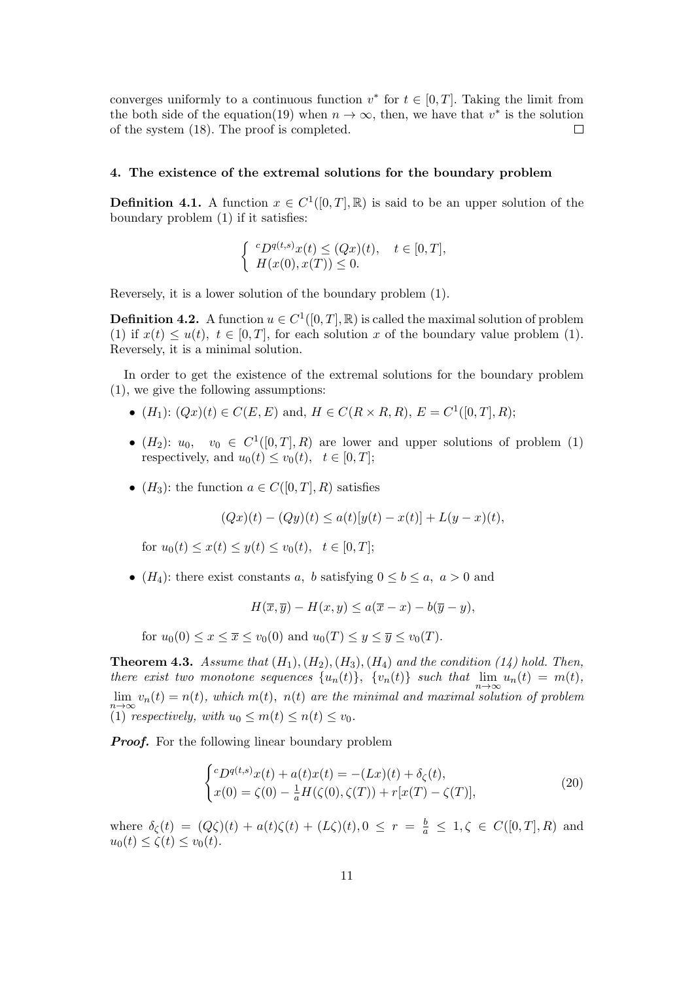converges uniformly to a continuous function  $v^*$  for  $t \in [0, T]$ . Taking the limit from the both side of the equation(19) when  $n \to \infty$ , then, we have that  $v^*$  is the solution of the system (18). The proof is completed.  $\Box$ 

## 4. The existence of the extremal solutions for the boundary problem

**Definition 4.1.** A function  $x \in C^1([0,T],\mathbb{R})$  is said to be an upper solution of the boundary problem (1) if it satisfies:

$$
\begin{cases} ^{c}D^{q(t,s)}x(t) \leq (Qx)(t), & t \in [0,T], \\ H(x(0),x(T)) \leq 0. \end{cases}
$$

Reversely, it is a lower solution of the boundary problem (1).

**Definition 4.2.** A function  $u \in C^1([0,T], \mathbb{R})$  is called the maximal solution of problem (1) if  $x(t) \leq u(t)$ ,  $t \in [0, T]$ , for each solution x of the boundary value problem (1). Reversely, it is a minimal solution.

In order to get the existence of the extremal solutions for the boundary problem (1), we give the following assumptions:

- $(H_1): (Qx)(t) \in C(E, E)$  and,  $H \in C(R \times R, R)$ ,  $E = C^1([0, T], R)$ ;
- $(H_2)$ :  $u_0$ ,  $v_0 \in C^1([0,T],R)$  are lower and upper solutions of problem (1) respectively, and  $u_0(t) \le v_0(t)$ ,  $t \in [0, T]$ ;
- $(H_3)$ : the function  $a \in C([0,T], R)$  satisfies

$$
(Qx)(t) - (Qy)(t) \le a(t)[y(t) - x(t)] + L(y - x)(t),
$$

for  $u_0(t) \leq x(t) \leq u(t) \leq v_0(t)$ ,  $t \in [0, T]$ ;

• ( $H_4$ ): there exist constants a, b satisfying  $0 \leq b \leq a$ ,  $a > 0$  and

$$
H(\overline{x}, \overline{y}) - H(x, y) \le a(\overline{x} - x) - b(\overline{y} - y),
$$

for  $u_0(0) \leq x \leq \overline{x} \leq v_0(0)$  and  $u_0(T) \leq y \leq \overline{y} \leq v_0(T)$ .

**Theorem 4.3.** Assume that  $(H_1), (H_2), (H_3), (H_4)$  and the condition (14) hold. Then, there exist two monotone sequences  $\{u_n(t)\}$ ,  $\{v_n(t)\}$  such that  $\lim_{n\to\infty}u_n(t) = m(t)$ ,  $\lim_{n\to\infty} v_n(t) = n(t)$ , which  $m(t)$ ,  $n(t)$  are the minimal and maximal solution of problem (1) respectively, with  $u_0 \leq m(t) \leq n(t) \leq v_0$ .

**Proof.** For the following linear boundary problem

$$
\begin{cases} ^{c}D^{q(t,s)}x(t) + a(t)x(t) = -(Lx)(t) + \delta_{\zeta}(t), \\ x(0) = \zeta(0) - \frac{1}{a}H(\zeta(0), \zeta(T)) + r[x(T) - \zeta(T)], \end{cases}
$$
 (20)

where  $\delta_{\zeta}(t) = (Q\zeta)(t) + a(t)\zeta(t) + (L\zeta)(t), 0 \leq r = \frac{b}{a} \leq 1, \zeta \in C([0, T], R)$  and  $u_0(t) \le \zeta(t) \le v_0(t).$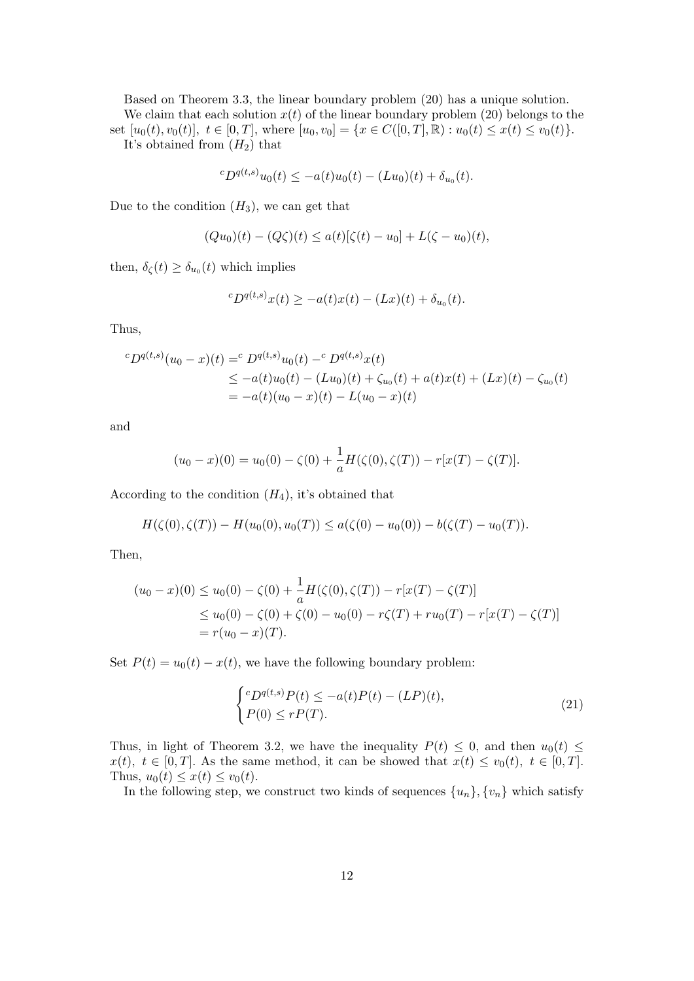Based on Theorem 3.3, the linear boundary problem (20) has a unique solution. We claim that each solution  $x(t)$  of the linear boundary problem (20) belongs to the set  $[u_0(t), v_0(t)], t \in [0, T],$  where  $[u_0, v_0] = \{x \in C([0, T], \mathbb{R}) : u_0(t) \leq x(t) \leq v_0(t)\}.$ It's obtained from  $(H_2)$  that

$$
{}^cD^{q(t,s)}u_0(t) \leq -a(t)u_0(t) - (Lu_0)(t) + \delta_{u_0}(t).
$$

Due to the condition  $(H_3)$ , we can get that

$$
(Qu_0)(t) - (Q\zeta)(t) \le a(t)[\zeta(t) - u_0] + L(\zeta - u_0)(t),
$$

then,  $\delta_{\zeta}(t) \geq \delta_{u_0}(t)$  which implies

$$
{}^{c}D^{q(t,s)}x(t) \geq -a(t)x(t) - (Lx)(t) + \delta_{u_0}(t).
$$

Thus,

$$
{}^{c}D^{q(t,s)}(u_{0}-x)(t) = {}^{c}D^{q(t,s)}u_{0}(t) - {}^{c}D^{q(t,s)}x(t)
$$
  
\n
$$
\leq -a(t)u_{0}(t) - (Lu_{0})(t) + \zeta_{u_{0}}(t) + a(t)x(t) + (Lx)(t) - \zeta_{u_{0}}(t)
$$
  
\n
$$
= -a(t)(u_{0}-x)(t) - L(u_{0}-x)(t)
$$

and

$$
(u_0 - x)(0) = u_0(0) - \zeta(0) + \frac{1}{a}H(\zeta(0), \zeta(T)) - r[x(T) - \zeta(T)].
$$

According to the condition  $(H_4)$ , it's obtained that

$$
H(\zeta(0), \zeta(T)) - H(u_0(0), u_0(T)) \le a(\zeta(0) - u_0(0)) - b(\zeta(T) - u_0(T)).
$$

Then,

$$
(u_0 - x)(0) \le u_0(0) - \zeta(0) + \frac{1}{a}H(\zeta(0), \zeta(T)) - r[x(T) - \zeta(T)]
$$
  
\n
$$
\le u_0(0) - \zeta(0) + \zeta(0) - u_0(0) - r\zeta(T) + ru_0(T) - r[x(T) - \zeta(T)]
$$
  
\n
$$
= r(u_0 - x)(T).
$$

Set  $P(t) = u_0(t) - x(t)$ , we have the following boundary problem:

$$
\begin{cases} ^cD^{q(t,s)}P(t) \leq -a(t)P(t) - (LP)(t), \\ P(0) \leq rP(T). \end{cases}
$$
\n(21)

Thus, in light of Theorem 3.2, we have the inequality  $P(t) \leq 0$ , and then  $u_0(t) \leq$  $x(t), t \in [0,T].$  As the same method, it can be showed that  $x(t) \le v_0(t), t \in [0,T].$ Thus,  $u_0(t) \leq x(t) \leq v_0(t)$ .

In the following step, we construct two kinds of sequences  $\{u_n\}, \{v_n\}$  which satisfy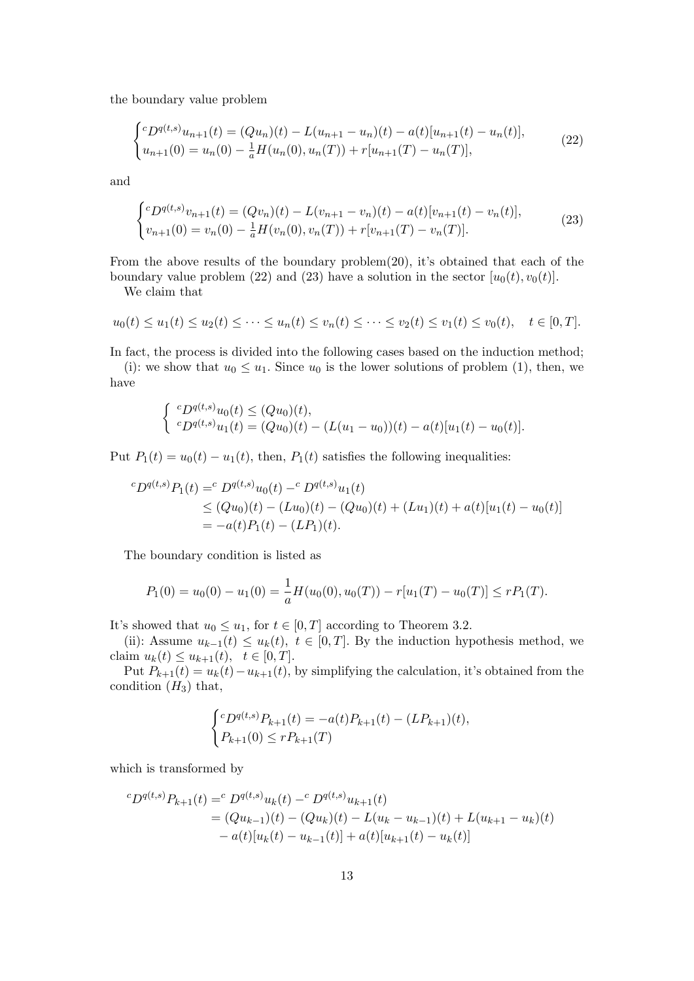the boundary value problem

$$
\begin{cases}^{c}D^{q(t,s)}u_{n+1}(t) = (Qu_n)(t) - L(u_{n+1} - u_n)(t) - a(t)[u_{n+1}(t) - u_n(t)],\\ u_{n+1}(0) = u_n(0) - \frac{1}{a}H(u_n(0), u_n(T)) + r[u_{n+1}(T) - u_n(T)], \end{cases}
$$
(22)

and

$$
\begin{cases} cD^{q(t,s)}v_{n+1}(t) = (Qv_n)(t) - L(v_{n+1} - v_n)(t) - a(t)[v_{n+1}(t) - v_n(t)], \\ v_{n+1}(0) = v_n(0) - \frac{1}{a}H(v_n(0), v_n(T)) + r[v_{n+1}(T) - v_n(T)]. \end{cases}
$$
(23)

From the above results of the boundary problem(20), it's obtained that each of the boundary value problem (22) and (23) have a solution in the sector  $[u_0(t), v_0(t)]$ .

We claim that

$$
u_0(t) \le u_1(t) \le u_2(t) \le \dots \le u_n(t) \le v_n(t) \le \dots \le v_2(t) \le v_1(t) \le v_0(t), \quad t \in [0, T].
$$

In fact, the process is divided into the following cases based on the induction method; (i): we show that  $u_0 \leq u_1$ . Since  $u_0$  is the lower solutions of problem (1), then, we have

$$
\begin{cases} \ ^{c}D^{q(t,s)}u_0(t) \leq (Qu_0)(t), \\ \ ^{c}D^{q(t,s)}u_1(t) = (Qu_0)(t) - (L(u_1 - u_0))(t) - a(t)[u_1(t) - u_0(t)]. \end{cases}
$$

Put  $P_1(t) = u_0(t) - u_1(t)$ , then,  $P_1(t)$  satisfies the following inequalities:

$$
{}^{c}D^{q(t,s)}P_{1}(t) = {}^{c}D^{q(t,s)}u_{0}(t) - {}^{c}D^{q(t,s)}u_{1}(t)
$$
  
\n
$$
\leq (Qu_{0})(t) - (Lu_{0})(t) - (Qu_{0})(t) + (Lu_{1})(t) + a(t)[u_{1}(t) - u_{0}(t)]
$$
  
\n
$$
= -a(t)P_{1}(t) - (LP_{1})(t).
$$

The boundary condition is listed as

$$
P_1(0) = u_0(0) - u_1(0) = \frac{1}{a}H(u_0(0), u_0(T)) - r[u_1(T) - u_0(T)] \le rP_1(T).
$$

It's showed that  $u_0 \leq u_1$ , for  $t \in [0, T]$  according to Theorem 3.2.

(ii): Assume  $u_{k-1}(t) \leq u_k(t)$ ,  $t \in [0,T]$ . By the induction hypothesis method, we claim  $u_k(t) \le u_{k+1}(t)$ ,  $t \in [0, T]$ .

Put  $P_{k+1}(t) = u_k(t) - u_{k+1}(t)$ , by simplifying the calculation, it's obtained from the condition  $(H_3)$  that,

$$
\begin{cases} ^cD^{q(t,s)}P_{k+1}(t) = -a(t)P_{k+1}(t) - (LP_{k+1})(t), \\ P_{k+1}(0) \le rP_{k+1}(T) \end{cases}
$$

which is transformed by

$$
{}^{c}D^{q(t,s)}P_{k+1}(t) = {}^{c}D^{q(t,s)}u_{k}(t) - {}^{c}D^{q(t,s)}u_{k+1}(t)
$$
  
=  $(Qu_{k-1})(t) - (Qu_{k})(t) - L(u_{k} - u_{k-1})(t) + L(u_{k+1} - u_{k})(t)$   
 $- a(t)[u_{k}(t) - u_{k-1}(t)] + a(t)[u_{k+1}(t) - u_{k}(t)]$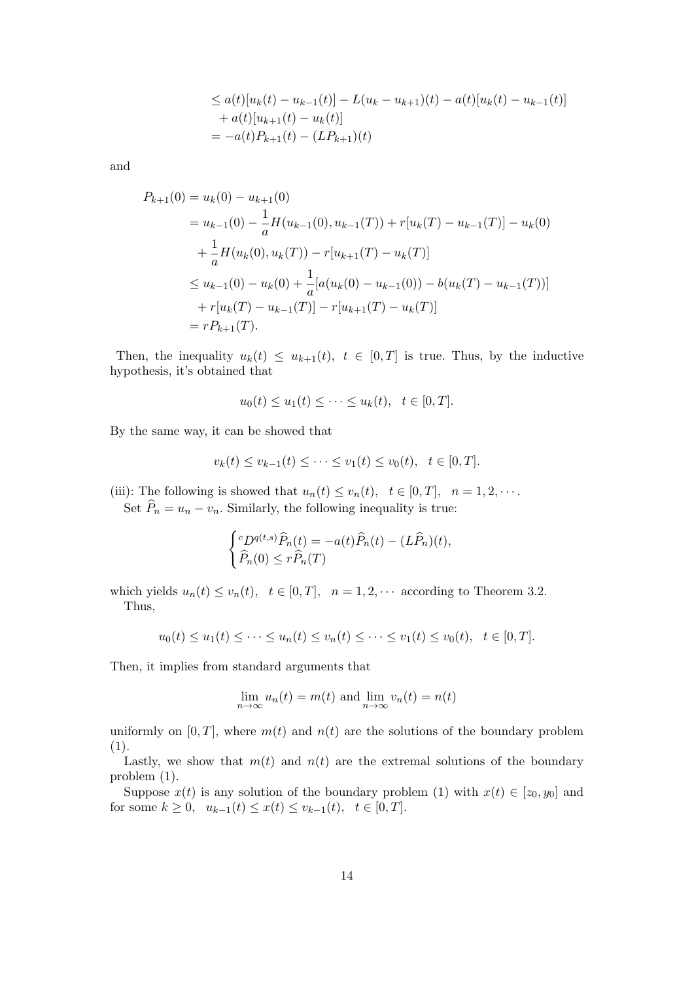$$
\leq a(t)[u_k(t) - u_{k-1}(t)] - L(u_k - u_{k+1})(t) - a(t)[u_k(t) - u_{k-1}(t)]
$$
  
+  $a(t)[u_{k+1}(t) - u_k(t)]$   
=  $-a(t)P_{k+1}(t) - (LP_{k+1})(t)$ 

and

$$
P_{k+1}(0) = u_k(0) - u_{k+1}(0)
$$
  
=  $u_{k-1}(0) - \frac{1}{a}H(u_{k-1}(0), u_{k-1}(T)) + r[u_k(T) - u_{k-1}(T)] - u_k(0)$   
+  $\frac{1}{a}H(u_k(0), u_k(T)) - r[u_{k+1}(T) - u_k(T)]$   
 $\leq u_{k-1}(0) - u_k(0) + \frac{1}{a}[a(u_k(0) - u_{k-1}(0)) - b(u_k(T) - u_{k-1}(T))]$   
+  $r[u_k(T) - u_{k-1}(T)] - r[u_{k+1}(T) - u_k(T)]$   
=  $rP_{k+1}(T)$ .

Then, the inequality  $u_k(t) \leq u_{k+1}(t)$ ,  $t \in [0,T]$  is true. Thus, by the inductive hypothesis, it's obtained that

$$
u_0(t) \le u_1(t) \le \dots \le u_k(t), \quad t \in [0, T].
$$

By the same way, it can be showed that

$$
v_k(t) \le v_{k-1}(t) \le \dots \le v_1(t) \le v_0(t), \quad t \in [0, T].
$$

(iii): The following is showed that  $u_n(t) \le v_n(t)$ ,  $t \in [0, T]$ ,  $n = 1, 2, \cdots$ . Set  $\widehat{P}_n = u_n - v_n$ . Similarly, the following inequality is true:

$$
\begin{cases} ^cD^{q(t,s)}\widehat{P}_n(t) = -a(t)\widehat{P}_n(t) - (L\widehat{P}_n)(t), \\ \widehat{P}_n(0) \le r\widehat{P}_n(T) \end{cases}
$$

which yields  $u_n(t) \le v_n(t)$ ,  $t \in [0, T]$ ,  $n = 1, 2, \cdots$  according to Theorem 3.2. Thus,

$$
u_0(t) \le u_1(t) \le \dots \le u_n(t) \le v_n(t) \le \dots \le v_1(t) \le v_0(t), \quad t \in [0, T].
$$

Then, it implies from standard arguments that

$$
\lim_{n \to \infty} u_n(t) = m(t) \text{ and } \lim_{n \to \infty} v_n(t) = n(t)
$$

uniformly on  $[0, T]$ , where  $m(t)$  and  $n(t)$  are the solutions of the boundary problem (1).

Lastly, we show that  $m(t)$  and  $n(t)$  are the extremal solutions of the boundary problem (1).

Suppose  $x(t)$  is any solution of the boundary problem (1) with  $x(t) \in [z_0, y_0]$  and for some  $k \geq 0$ ,  $u_{k-1}(t) \leq x(t) \leq v_{k-1}(t)$ ,  $t \in [0, T]$ .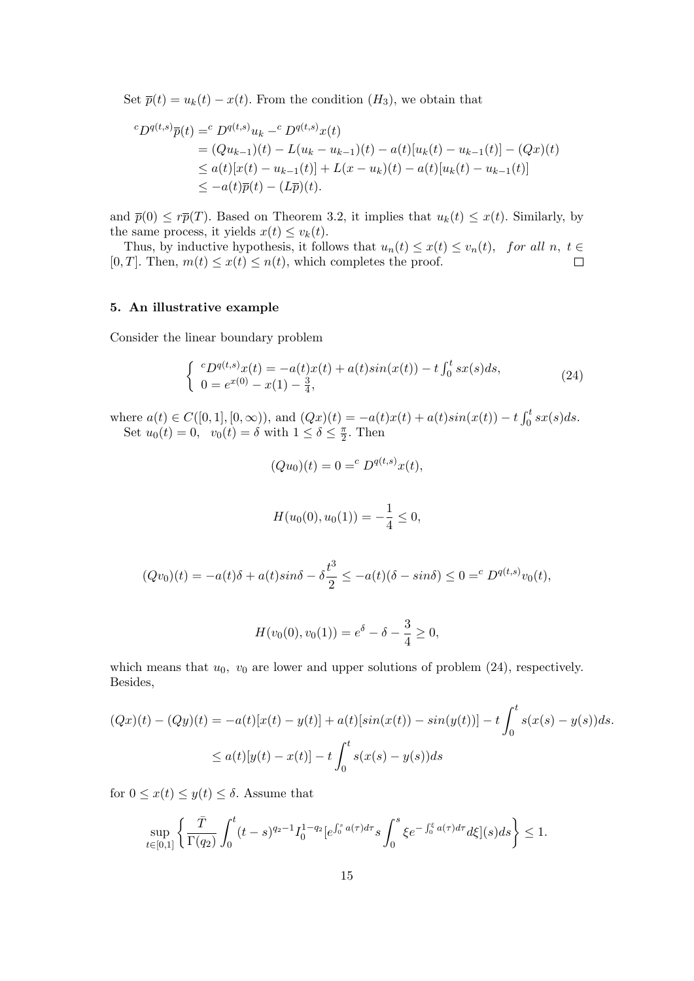Set  $\overline{p}(t) = u_k(t) - x(t)$ . From the condition  $(H_3)$ , we obtain that

$$
{}^{c}D^{q(t,s)}\overline{p}(t) = {}^{c}D^{q(t,s)}u_{k} - {}^{c}D^{q(t,s)}x(t)
$$
  
=  $(Qu_{k-1})(t) - L(u_{k} - u_{k-1})(t) - a(t)[u_{k}(t) - u_{k-1}(t)] - (Qx)(t)$   
 $\leq a(t)[x(t) - u_{k-1}(t)] + L(x - u_{k})(t) - a(t)[u_{k}(t) - u_{k-1}(t)]$   
 $\leq -a(t)\overline{p}(t) - (L\overline{p})(t).$ 

and  $\overline{p}(0) \leq r\overline{p}(T)$ . Based on Theorem 3.2, it implies that  $u_k(t) \leq x(t)$ . Similarly, by the same process, it yields  $x(t) \leq v_k(t)$ .

Thus, by inductive hypothesis, it follows that  $u_n(t) \leq x(t) \leq v_n(t)$ , for all  $n, t \in$ [0, T]. Then,  $m(t) \leq x(t) \leq n(t)$ , which completes the proof.  $\Box$ 

## 5. An illustrative example

Consider the linear boundary problem

$$
\begin{cases}\n^{c}D^{q(t,s)}x(t) = -a(t)x(t) + a(t)\sin(x(t)) - t \int_0^t sx(s)ds, \\
0 = e^{x(0)} - x(1) - \frac{3}{4},\n\end{cases} \tag{24}
$$

where  $a(t) \in C([0, 1], [0, \infty))$ , and  $(Qx)(t) = -a(t)x(t) + a(t)sin(x(t)) - t \int_0^t sx(s)ds$ . Set  $u_0(t) = 0$ ,  $v_0(t) = \delta$  with  $1 \leq \delta \leq \frac{\pi}{2}$  $\frac{\pi}{2}$ . Then

$$
(Qu_0)(t) = 0 = c D^{q(t,s)}x(t),
$$

$$
H(u_0(0), u_0(1)) = -\frac{1}{4} \le 0,
$$

$$
(Qv_0)(t) = -a(t)\delta + a(t)\sin\delta - \delta\frac{t^3}{2} \le -a(t)(\delta - \sin\delta) \le 0 = {^c D^{q(t,s)}}v_0(t),
$$

$$
H(v_0(0), v_0(1)) = e^{\delta} - \delta - \frac{3}{4} \ge 0,
$$

which means that  $u_0$ ,  $v_0$  are lower and upper solutions of problem (24), respectively. Besides,

$$
(Qx)(t) - (Qy)(t) = -a(t)[x(t) - y(t)] + a(t)[\sin(x(t)) - \sin(y(t))] - t \int_0^t s(x(s) - y(s))ds.
$$
  

$$
\leq a(t)[y(t) - x(t)] - t \int_0^t s(x(s) - y(s))ds
$$

for  $0 \leq x(t) \leq y(t) \leq \delta$ . Assume that

$$
\sup_{t\in[0,1]}\left\{\frac{\bar{T}}{\Gamma(q_2)}\int_0^t(t-s)^{q_2-1}I_0^{1-q_2}[e^{\int_0^s a(\tau)d\tau}s\int_0^s\xi e^{-\int_0^s a(\tau)d\tau}d\xi](s)ds\right\}\leq 1.
$$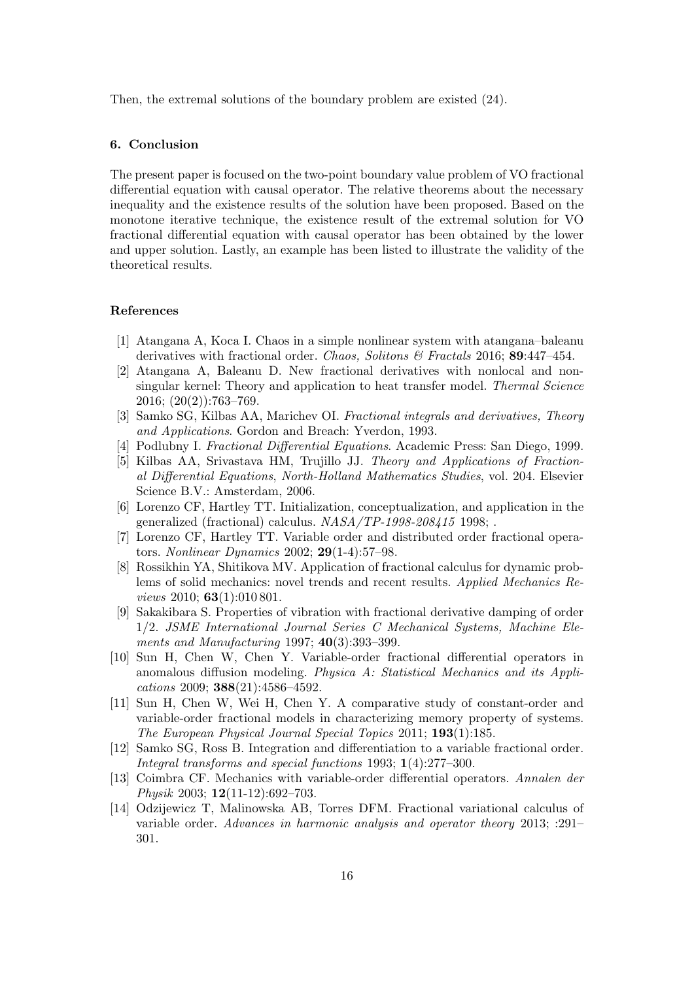Then, the extremal solutions of the boundary problem are existed (24).

#### 6. Conclusion

The present paper is focused on the two-point boundary value problem of VO fractional differential equation with causal operator. The relative theorems about the necessary inequality and the existence results of the solution have been proposed. Based on the monotone iterative technique, the existence result of the extremal solution for VO fractional differential equation with causal operator has been obtained by the lower and upper solution. Lastly, an example has been listed to illustrate the validity of the theoretical results.

### References

- [1] Atangana A, Koca I. Chaos in a simple nonlinear system with atangana–baleanu derivatives with fractional order. Chaos, Solitons & Fractals 2016; 89:447–454.
- [2] Atangana A, Baleanu D. New fractional derivatives with nonlocal and nonsingular kernel: Theory and application to heat transfer model. *Thermal Science* 2016; (20(2)):763–769.
- [3] Samko SG, Kilbas AA, Marichev OI. Fractional integrals and derivatives, Theory and Applications. Gordon and Breach: Yverdon, 1993.
- [4] Podlubny I. Fractional Differential Equations. Academic Press: San Diego, 1999.
- [5] Kilbas AA, Srivastava HM, Trujillo JJ. Theory and Applications of Fractional Differential Equations, North-Holland Mathematics Studies, vol. 204. Elsevier Science B.V.: Amsterdam, 2006.
- [6] Lorenzo CF, Hartley TT. Initialization, conceptualization, and application in the generalized (fractional) calculus.  $NASA/TP-1998-208415$  1998;.
- [7] Lorenzo CF, Hartley TT. Variable order and distributed order fractional operators. Nonlinear Dynamics 2002; 29(1-4):57–98.
- [8] Rossikhin YA, Shitikova MV. Application of fractional calculus for dynamic problems of solid mechanics: novel trends and recent results. Applied Mechanics Reviews 2010;  $63(1):010\,801$ .
- [9] Sakakibara S. Properties of vibration with fractional derivative damping of order 1/2. JSME International Journal Series C Mechanical Systems, Machine Elements and Manufacturing 1997; 40(3):393-399.
- [10] Sun H, Chen W, Chen Y. Variable-order fractional differential operators in anomalous diffusion modeling. Physica A: Statistical Mechanics and its Applications 2009; 388(21):4586–4592.
- [11] Sun H, Chen W, Wei H, Chen Y. A comparative study of constant-order and variable-order fractional models in characterizing memory property of systems. The European Physical Journal Special Topics 2011; 193(1):185.
- [12] Samko SG, Ross B. Integration and differentiation to a variable fractional order. Integral transforms and special functions 1993; 1(4):277–300.
- [13] Coimbra CF. Mechanics with variable-order differential operators. Annalen der Physik 2003; 12(11-12):692–703.
- [14] Odzijewicz T, Malinowska AB, Torres DFM. Fractional variational calculus of variable order. Advances in harmonic analysis and operator theory 2013; :291– 301.